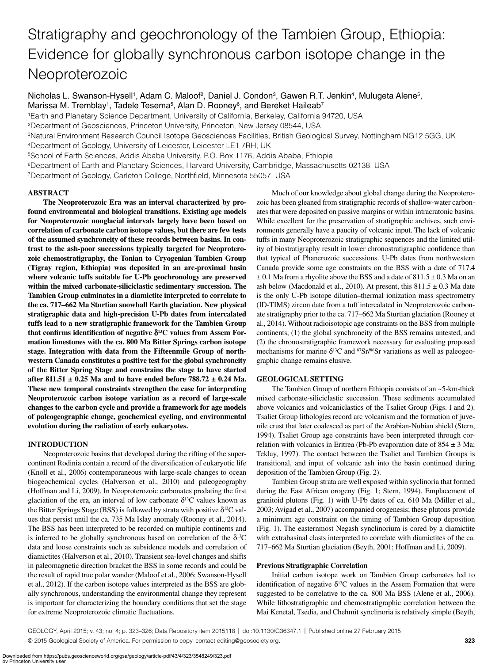# Stratigraphy and geochronology of the Tambien Group, Ethiopia: Evidence for globally synchronous carbon isotope change in the Neoproterozoic

Nicholas L. Swanson-Hysell<sup>1</sup>, Adam C. Maloof<sup>2</sup>, Daniel J. Condon<sup>3</sup>, Gawen R.T. Jenkin<sup>4</sup>, Mulugeta Alene<sup>5</sup>, Marissa M. Tremblay<sup>1</sup>, Tadele Tesema<sup>5</sup>, Alan D. Rooney<sup>6</sup>, and Bereket Haileab<sup>7</sup>

1Earth and Planetary Science Department, University of California, Berkeley, California 94720, USA

2Department of Geosciences, Princeton University, Princeton, New Jersey 08544, USA

3Natural Environment Research Council Isotope Geosciences Facilities, British Geological Survey, Nottingham NG12 5GG, UK

4Department of Geology, University of Leicester, Leicester LE1 7RH, UK

5School of Earth Sciences, Addis Ababa University, P.O. Box 1176, Addis Ababa, Ethiopia

6Department of Earth and Planetary Sciences, Harvard University, Cambridge, Massachusetts 02138, USA

7Department of Geology, Carleton College, Northfield, Minnesota 55057, USA

## **ABSTRACT**

**The Neoproterozoic Era was an interval characterized by profound environmental and biological transitions. Existing age models for Neoproterozoic nonglacial intervals largely have been based on correlation of carbonate carbon isotope values, but there are few tests of the assumed synchroneity of these records between basins. In contrast to the ash-poor successions typically targeted for Neoproterozoic chemostratigraphy, the Tonian to Cryogenian Tambien Group (Tigray region, Ethiopia) was deposited in an arc-proximal basin where volcanic tuffs suitable for U-Pb geochronology are preserved within the mixed carbonate-siliciclastic sedimentary succession. The Tambien Group culminates in a diamictite interpreted to correlate to the ca. 717–662 Ma Sturtian snowball Earth glaciation. New physical stratigraphic data and high-precision U-Pb dates from intercalated tuffs lead to a new stratigraphic framework for the Tambien Group**  that confirms identification of negative  $\delta^{13}$ C values from Assem For**mation limestones with the ca. 800 Ma Bitter Springs carbon isotope stage. Integration with data from the Fifteenmile Group of northwestern Canada constitutes a positive test for the global synchroneity of the Bitter Spring Stage and constrains the stage to have started after 811.51 ± 0.25 Ma and to have ended before 788.72 ± 0.24 Ma. These new temporal constraints strengthen the case for interpreting Neoproterozoic carbon isotope variation as a record of large-scale changes to the carbon cycle and provide a framework for age models of paleogeographic change, geochemical cycling, and environmental evolution during the radiation of early eukaryotes.**

## **INTRODUCTION**

Neoproterozoic basins that developed during the rifting of the supercontinent Rodinia contain a record of the diversification of eukaryotic life (Knoll et al., 2006) contemporaneous with large-scale changes to ocean biogeochemical cycles (Halverson et al., 2010) and paleogeography (Hoffman and Li, 2009). In Neoproterozoic carbonates predating the first glaciation of the era, an interval of low carbonate  $\delta^{13}$ C values known as the Bitter Springs Stage (BSS) is followed by strata with positive  $\delta^{13}C$  values that persist until the ca. 735 Ma Islay anomaly (Rooney et al., 2014). The BSS has been interpreted to be recorded on multiple continents and is inferred to be globally synchronous based on correlation of the  $\delta^{13}C$ data and loose constraints such as subsidence models and correlation of diamictites (Halverson et al., 2010). Transient sea-level changes and shifts in paleomagnetic direction bracket the BSS in some records and could be the result of rapid true polar wander (Maloof et al., 2006; Swanson-Hysell et al., 2012). If the carbon isotope values interpreted as the BSS are globally synchronous, understanding the environmental change they represent is important for characterizing the boundary conditions that set the stage for extreme Neoproterozoic climatic fluctuations.

Much of our knowledge about global change during the Neoproterozoic has been gleaned from stratigraphic records of shallow-water carbonates that were deposited on passive margins or within intracratonic basins. While excellent for the preservation of stratigraphic archives, such environments generally have a paucity of volcanic input. The lack of volcanic tuffs in many Neoproterozoic stratigraphic sequences and the limited utility of biostratigraphy result in lower chronostratigraphic confidence than that typical of Phanerozoic successions. U-Pb dates from northwestern Canada provide some age constraints on the BSS with a date of 717.4  $\pm$  0.1 Ma from a rhyolite above the BSS and a date of 811.5  $\pm$  0.3 Ma on an ash below (Macdonald et al., 2010). At present, this  $811.5 \pm 0.3$  Ma date is the only U-Pb isotope dilution–thermal ionization mass spectrometry (ID-TIMS) zircon date from a tuff intercalated in Neoproterozoic carbonate stratigraphy prior to the ca. 717–662 Ma Sturtian glaciation (Rooney et al., 2014). Without radioisotopic age constraints on the BSS from multiple continents, (1) the global synchroneity of the BSS remains untested, and (2) the chronostratigraphic framework necessary for evaluating proposed mechanisms for marine  $\delta^{13}C$  and  $87Sr/86Sr$  variations as well as paleogeographic change remains elusive.

## **GEOLOGICAL SETTING**

The Tambien Group of northern Ethiopia consists of an ~5-km-thick mixed carbonate-siliciclastic succession. These sediments accumulated above volcanics and volcaniclastics of the Tsaliet Group (Figs. 1 and 2). Tsaliet Group lithologies record arc volcanism and the formation of juvenile crust that later coalesced as part of the Arabian-Nubian shield (Stern, 1994). Tsaliet Group age constraints have been interpreted through correlation with volcanics in Eritrea (Pb-Pb evaporation date of  $854 \pm 3$  Ma; Teklay, 1997). The contact between the Tsaliet and Tambien Groups is transitional, and input of volcanic ash into the basin continued during deposition of the Tambien Group (Fig. 2).

Tambien Group strata are well exposed within syclinoria that formed during the East African orogeny (Fig. 1; Stern, 1994). Emplacement of granitoid plutons (Fig. 1) with U-Pb dates of ca. 610 Ma (Miller et al., 2003; Avigad et al., 2007) accompanied orogenesis; these plutons provide a minimum age constraint on the timing of Tambien Group deposition (Fig. 1). The easternmost Negash synclinorium is cored by a diamictite with extrabasinal clasts interpreted to correlate with diamictites of the ca. 717–662 Ma Sturtian glaciation (Beyth, 2001; Hoffman and Li, 2009).

### **Previous Stratigraphic Correlation**

Initial carbon isotope work on Tambien Group carbonates led to identification of negative  $\delta^{13}$ C values in the Assem Formation that were suggested to be correlative to the ca. 800 Ma BSS (Alene et al., 2006). While lithostratigraphic and chemostratigraphic correlation between the Mai Kenetal, Tsedia, and Chehmit synclinoria is relatively simple (Beyth,

© 2015 Geological Society of America. For permission to copy, contact editing@geosociety.org. **203 203 203** GEOLOGY, April 2015; v. 43; no. 4; p. 323–326; Data Repository item 2015118 | doi:10.1130/G36347.1 | Published online 27 February 2015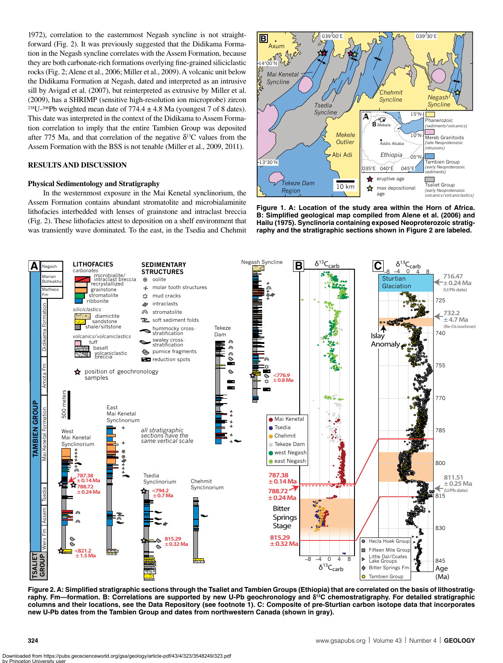1972), correlation to the easternmost Negash syncline is not straightforward (Fig. 2). It was previously suggested that the Didikama Formation in the Negash syncline correlates with the Assem Formation, because they are both carbonate-rich formations overlying fine-grained siliciclastic rocks (Fig. 2; Alene et al., 2006; Miller et al., 2009). A volcanic unit below the Didikama Formation at Negash, dated and interpreted as an intrusive sill by Avigad et al. (2007), but reinterpreted as extrusive by Miller et al. (2009), has a SHRIMP (sensitive high-resolution ion microprobe) zircon <sup>238</sup>U-<sup>206</sup>Pb weighted mean date of 774.4  $\pm$  4.8 Ma (youngest 7 of 8 dates). This date was interpreted in the context of the Didikama to Assem Formation correlation to imply that the entire Tambien Group was deposited after 775 Ma, and that correlation of the negative  $\delta^{13}$ C values from the Assem Formation with the BSS is not tenable (Miller et al., 2009, 2011).

## **RESULTS AND DISCUSSION**

### **Physical Sedimentology and Stratigraphy**

In the westernmost exposure in the Mai Kenetal synclinorium, the Assem Formation contains abundant stromatolite and microbialaminite lithofacies interbedded with lenses of grainstone and intraclast breccia (Fig. 2). These lithofacies attest to deposition on a shelf environment that was transiently wave dominated. To the east, in the Tsedia and Chehmit



**Figure 1. A: Location of the study area within the Horn of Africa. B: Simplified geological map compiled from Alene et al. (2006) and Hailu (1975). Synclinoria containing exposed Neoproterozoic stratigraphy and the stratigraphic sections shown in Figure 2 are labeled.**



**Figure 2. A: Simplified stratigraphic sections through the Tsaliet and Tambien Groups (Ethiopia) that are correlated on the basis of lithostratigraphy. Fm—formation. B: Correlations are supported by new U-Pb geochronology and** d**13C chemostratigraphy. For detailed stratigraphic columns and their locations, see the Data Repository (see footnote 1). C: Composite of pre-Sturtian carbon isotope data that incorporates new U-Pb dates from the Tambien Group and dates from northwestern Canada (shown in gray).**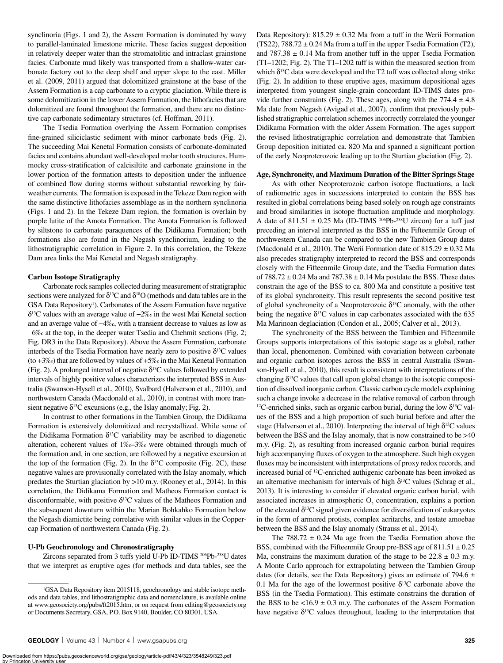synclinoria (Figs. 1 and 2), the Assem Formation is dominated by wavy to parallel-laminated limestone micrite. These facies suggest deposition in relatively deeper water than the stromatolitic and intraclast grainstone facies. Carbonate mud likely was transported from a shallow-water carbonate factory out to the deep shelf and upper slope to the east. Miller et al. (2009, 2011) argued that dolomitized grainstone at the base of the Assem Formation is a cap carbonate to a cryptic glaciation. While there is some dolomitization in the lower Assem Formation, the lithofacies that are dolomitized are found throughout the formation, and there are no distinctive cap carbonate sedimentary structures (cf. Hoffman, 2011).

The Tsedia Formation overlying the Assem Formation comprises fine-grained siliciclastic sediment with minor carbonate beds (Fig. 2). The succeeding Mai Kenetal Formation consists of carbonate-dominated facies and contains abundant well-developed molar tooth structures. Hummocky cross-stratification of calcisiltite and carbonate grainstone in the lower portion of the formation attests to deposition under the influence of combined flow during storms without substantial reworking by fairweather currents. The formation is exposed in the Tekeze Dam region with the same distinctive lithofacies assemblage as in the northern synclinoria (Figs. 1 and 2). In the Tekeze Dam region, the formation is overlain by purple lutite of the Amota Formation. The Amota Formation is followed by siltstone to carbonate paraquences of the Didikama Formation; both formations also are found in the Negash synclinorium, leading to the lithostratigraphic correlation in Figure 2. In this correlation, the Tekeze Dam area links the Mai Kenetal and Negash stratigraphy.

#### **Carbon Isotope Stratigraphy**

Carbonate rock samples collected during measurement of stratigraphic sections were analyzed for  $\delta^{13}C$  and  $\delta^{18}O$  (methods and data tables are in the GSA Data Repository<sup>1</sup>). Carbonates of the Assem Formation have negative  $\delta^{13}$ C values with an average value of  $-2\%$  in the west Mai Kenetal section and an average value of  $-4\%$ , with a transient decrease to values as low as -6‰ at the top, in the deeper water Tsedia and Chehmit sections (Fig. 2; Fig. DR3 in the Data Repository). Above the Assem Formation, carbonate interbeds of the Tsedia Formation have nearly zero to positive  $\delta^{13}C$  values (to +3‰) that are followed by values of +5‰ in the Mai Kenetal Formation (Fig. 2). A prolonged interval of negative  $\delta^{13}$ C values followed by extended intervals of highly positive values characterizes the interpreted BSS in Australia (Swanson-Hysell et al., 2010), Svalbard (Halverson et al., 2010), and northwestern Canada (Macdonald et al., 2010), in contrast with more transient negative  $\delta^{13}C$  excursions (e.g., the Islay anomaly; Fig. 2).

In contrast to other formations in the Tambien Group, the Didikama Formation is extensively dolomitized and recrystallized. While some of the Didikama Formation  $\delta^{13}$ C variability may be ascribed to diagenetic alteration, coherent values of 1‰–3‰ were obtained through much of the formation and, in one section, are followed by a negative excursion at the top of the formation (Fig. 2). In the  $\delta^{13}$ C composite (Fig. 2C), these negative values are provisionally correlated with the Islay anomaly, which predates the Sturtian glaciation by >10 m.y. (Rooney et al., 2014). In this correlation, the Didikama Formation and Matheos Formation contact is disconformable, with positive  $\delta^{13}$ C values of the Matheos Formation and the subsequent downturn within the Marian Bohkahko Formation below the Negash diamictite being correlative with similar values in the Coppercap Formation of northwestern Canada (Fig. 2).

### **U-Pb Geochronology and Chronostratigraphy**

Zircons separated from 3 tuffs yield U-Pb ID-TIMS 206Pb-238U dates that we interpret as eruptive ages (for methods and data tables, see the Data Repository):  $815.29 \pm 0.32$  Ma from a tuff in the Werii Formation  $(TS22)$ , 788.72  $\pm$  0.24 Ma from a tuff in the upper Tsedia Formation (T2), and  $787.38 \pm 0.14$  Ma from another tuff in the upper Tsedia Formation (T1–1202; Fig. 2). The T1–1202 tuff is within the measured section from which  $\delta^{13}C$  data were developed and the T2 tuff was collected along strike (Fig. 2). In addition to these eruptive ages, maximum depositional ages interpreted from youngest single-grain concordant ID-TIMS dates provide further constraints (Fig. 2). These ages, along with the  $774.4 \pm 4.8$ Ma date from Negash (Avigad et al., 2007), confirm that previously published stratigraphic correlation schemes incorrectly correlated the younger Didikama Formation with the older Assem Formation. The ages support the revised lithostratigraphic correlation and demonstrate that Tambien Group deposition initiated ca. 820 Ma and spanned a significant portion of the early Neoproterozoic leading up to the Sturtian glaciation (Fig. 2).

#### **Age, Synchroneity, and Maximum Duration of the Bitter Springs Stage**

As with other Neoproterozoic carbon isotope fluctuations, a lack of radiometric ages in successions interpreted to contain the BSS has resulted in global correlations being based solely on rough age constraints and broad similarities in isotope fluctuation amplitude and morphology. A date of 811.51  $\pm$  0.25 Ma (ID-TIMS <sup>206</sup>Pb-<sup>238</sup>U zircon) for a tuff just preceding an interval interpreted as the BSS in the Fifteenmile Group of northwestern Canada can be compared to the new Tambien Group dates (Macdonald et al., 2010). The Werii Formation date of  $815.29 \pm 0.32$  Ma also precedes stratigraphy interpreted to record the BSS and corresponds closely with the Fifteenmile Group date, and the Tsedia Formation dates of  $788.72 \pm 0.24$  Ma and  $787.38 \pm 0.14$  Ma postdate the BSS. These dates constrain the age of the BSS to ca. 800 Ma and constitute a positive test of its global synchroneity. This result represents the second positive test of global synchroneity of a Neoproterozoic  $\delta^{13}$ C anomaly, with the other being the negative  $\delta^{13}$ C values in cap carbonates associated with the 635 Ma Marinoan deglaciation (Condon et al., 2005; Calver et al., 2013).

The synchroneity of the BSS between the Tambien and Fifteenmile Groups supports interpretations of this isotopic stage as a global, rather than local, phenomenon. Combined with covariation between carbonate and organic carbon isotopes across the BSS in central Australia (Swanson-Hysell et al., 2010), this result is consistent with interpretations of the changing  $\delta^{13}$ C values that call upon global change to the isotopic composition of dissolved inorganic carbon. Classic carbon cycle models explaining such a change invoke a decrease in the relative removal of carbon through <sup>12</sup>C-enriched sinks, such as organic carbon burial, during the low  $\delta^{13}C$  values of the BSS and a high proportion of such burial before and after the stage (Halverson et al., 2010). Interpreting the interval of high  $\delta^{13}C$  values between the BSS and the Islay anomaly, that is now constrained to be >40 m.y. (Fig. 2), as resulting from increased organic carbon burial requires high accompanying fluxes of oxygen to the atmosphere. Such high oxygen fluxes may be inconsistent with interpretations of proxy redox records, and increased burial of 12C-enriched authigenic carbonate has been invoked as an alternative mechanism for intervals of high  $\delta^{13}$ C values (Schrag et al., 2013). It is interesting to consider if elevated organic carbon burial, with associated increases in atmospheric  $O_2$  concentration, explains a portion of the elevated  $\delta^{13}C$  signal given evidence for diversification of eukaryotes in the form of armored protists, complex acritarchs, and testate amoebae between the BSS and the Islay anomaly (Strauss et al., 2014).

The  $788.72 \pm 0.24$  Ma age from the Tsedia Formation above the BSS, combined with the Fifteenmile Group pre-BSS age of  $811.51 \pm 0.25$ Ma, constrains the maximum duration of the stage to be  $22.8 \pm 0.3$  m.y. A Monte Carlo approach for extrapolating between the Tambien Group dates (for details, see the Data Repository) gives an estimate of 794.6  $\pm$ 0.1 Ma for the age of the lowermost positive  $\delta^{13}$ C carbonate above the BSS (in the Tsedia Formation). This estimate constrains the duration of the BSS to be  $\lt 16.9 \pm 0.3$  m.y. The carbonates of the Assem Formation have negative  $\delta^{13}$ C values throughout, leading to the interpretation that

<sup>&</sup>lt;sup>1</sup>GSA Data Repository item 2015118, geochronology and stable isotope methods and data tables, and lithostratigraphic data and nomenclature, is available online at www.geosociety.org/pubs/ft2015.htm, or on request from editing@geosociety.org or Documents Secretary, GSA, P.O. Box 9140, Boulder, CO 80301, USA.